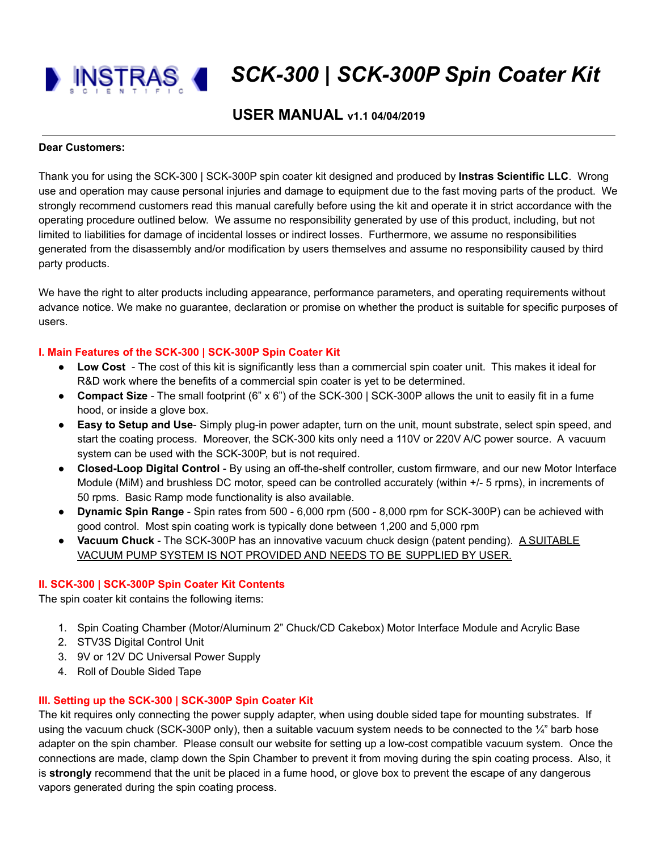*SCK-300 | SCK-300P Spin Coater Kit*

# **USER MANUAL v1.1 04/04/2019**

#### **Dear Customers:**

Thank you for using the SCK-300 | SCK-300P spin coater kit designed and produced by **Instras Scientific LLC**. Wrong use and operation may cause personal injuries and damage to equipment due to the fast moving parts of the product. We strongly recommend customers read this manual carefully before using the kit and operate it in strict accordance with the operating procedure outlined below. We assume no responsibility generated by use of this product, including, but not limited to liabilities for damage of incidental losses or indirect losses. Furthermore, we assume no responsibilities generated from the disassembly and/or modification by users themselves and assume no responsibility caused by third party products.

We have the right to alter products including appearance, performance parameters, and operating requirements without advance notice. We make no guarantee, declaration or promise on whether the product is suitable for specific purposes of users.

### **I. Main Features of the SCK-300 | SCK-300P Spin Coater Kit**

- **Low Cost** The cost of this kit is significantly less than a commercial spin coater unit. This makes it ideal for R&D work where the benefits of a commercial spin coater is yet to be determined.
- **Compact Size** The small footprint (6" x 6") of the SCK-300 | SCK-300P allows the unit to easily fit in a fume hood, or inside a glove box.
- **Easy to Setup and Use** Simply plug-in power adapter, turn on the unit, mount substrate, select spin speed, and start the coating process. Moreover, the SCK-300 kits only need a 110V or 220V A/C power source. A vacuum system can be used with the SCK-300P, but is not required.
- **Closed-Loop Digital Control** By using an off-the-shelf controller, custom firmware, and our new Motor Interface Module (MiM) and brushless DC motor, speed can be controlled accurately (within +/- 5 rpms), in increments of 50 rpms. Basic Ramp mode functionality is also available.
- **Dynamic Spin Range** Spin rates from 500 6,000 rpm (500 8,000 rpm for SCK-300P) can be achieved with good control. Most spin coating work is typically done between 1,200 and 5,000 rpm
- **Vacuum Chuck** The SCK-300P has an innovative vacuum chuck design (patent pending). A SUITABLE VACUUM PUMP SYSTEM IS NOT PROVIDED AND NEEDS TO BE SUPPLIED BY USER.

### **II. SCK-300 | SCK-300P Spin Coater Kit Contents**

The spin coater kit contains the following items:

- 1. Spin Coating Chamber (Motor/Aluminum 2" Chuck/CD Cakebox) Motor Interface Module and Acrylic Base
- 2. STV3S Digital Control Unit
- 3. 9V or 12V DC Universal Power Supply
- 4. Roll of Double Sided Tape

### **III. Setting up the SCK-300 | SCK-300P Spin Coater Kit**

The kit requires only connecting the power supply adapter, when using double sided tape for mounting substrates. If using the vacuum chuck (SCK-300P only), then a suitable vacuum system needs to be connected to the ¼" barb hose adapter on the spin chamber. Please consult our website for setting up a low-cost compatible vacuum system. Once the connections are made, clamp down the Spin Chamber to prevent it from moving during the spin coating process. Also, it is **strongly** recommend that the unit be placed in a fume hood, or glove box to prevent the escape of any dangerous vapors generated during the spin coating process.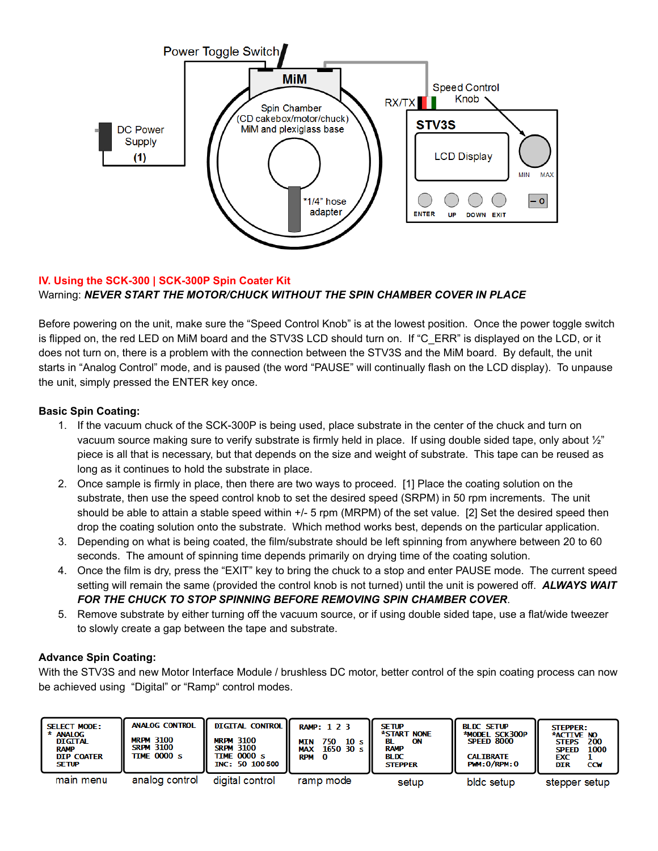

# **IV. Using the SCK-300 | SCK-300P Spin Coater Kit** Warning: *NEVER START THE MOTOR/CHUCK WITHOUT THE SPIN CHAMBER COVER IN PLACE*

Before powering on the unit, make sure the "Speed Control Knob" is at the lowest position. Once the power toggle switch is flipped on, the red LED on MiM board and the STV3S LCD should turn on. If "C\_ERR" is displayed on the LCD, or it does not turn on, there is a problem with the connection between the STV3S and the MiM board. By default, the unit starts in "Analog Control" mode, and is paused (the word "PAUSE" will continually flash on the LCD display). To unpause the unit, simply pressed the ENTER key once.

## **Basic Spin Coating:**

- 1. If the vacuum chuck of the SCK-300P is being used, place substrate in the center of the chuck and turn on vacuum source making sure to verify substrate is firmly held in place. If using double sided tape, only about ½" piece is all that is necessary, but that depends on the size and weight of substrate. This tape can be reused as long as it continues to hold the substrate in place.
- 2. Once sample is firmly in place, then there are two ways to proceed. [1] Place the coating solution on the substrate, then use the speed control knob to set the desired speed (SRPM) in 50 rpm increments. The unit should be able to attain a stable speed within +/- 5 rpm (MRPM) of the set value. [2] Set the desired speed then drop the coating solution onto the substrate. Which method works best, depends on the particular application.
- 3. Depending on what is being coated, the film/substrate should be left spinning from anywhere between 20 to 60 seconds. The amount of spinning time depends primarily on drying time of the coating solution.
- 4. Once the film is dry, press the "EXIT" key to bring the chuck to a stop and enter PAUSE mode. The current speed setting will remain the same (provided the control knob is not turned) until the unit is powered off. *ALWAYS WAIT FOR THE CHUCK TO STOP SPINNING BEFORE REMOVING SPIN CHAMBER COVER*.
- 5. Remove substrate by either turning off the vacuum source, or if using double sided tape, use a flat/wide tweezer to slowly create a gap between the tape and substrate.

## **Advance Spin Coating:**

With the STV3S and new Motor Interface Module / brushless DC motor, better control of the spin coating process can now be achieved using "Digital" or "Ramp" control modes.

| <b>SELECT MODE:</b><br>* ANALOG<br><b>DIGITAL</b><br><b>RAMP</b><br><b>DIP COATER</b><br><b>SETUP</b> | <b>ANALOG CONTROL</b><br><b>MRPM 3100</b><br><b>SRPM 3100</b><br>TIME 0000 s | <b>DIGITAL CONTROL  </b><br><b>MRPM 3100</b><br><b>SRPM 3100</b><br><b>TIME 0000 s</b><br>INC: 50 100 500 | <b>RAMP: 1 2 3</b><br>750<br>10 <sub>s</sub><br>MIN<br>1650 30 s l<br><b>MAX</b><br>RPM 0 | <b>SETUP</b><br>*START NONE<br>ON<br><b>RAMP</b><br>BLDC<br><b>STEPPER</b> | <b>BLDC SETUP</b><br>*MODEL SCK300P<br><b>SPEED 8000</b><br><b>CALTBRATE</b><br>PMM:0/RPM:0 | <b>STEPPER:</b><br>*ACTIVE NO<br>200<br><b>STEPS</b><br>1000<br><b>SPEED</b><br>EXC<br><b>DIR</b><br><b>CCM</b> |
|-------------------------------------------------------------------------------------------------------|------------------------------------------------------------------------------|-----------------------------------------------------------------------------------------------------------|-------------------------------------------------------------------------------------------|----------------------------------------------------------------------------|---------------------------------------------------------------------------------------------|-----------------------------------------------------------------------------------------------------------------|
| main menu                                                                                             | analog control                                                               | digital control                                                                                           | ramp mode                                                                                 | setup                                                                      | bldc setup.                                                                                 | stepper setup                                                                                                   |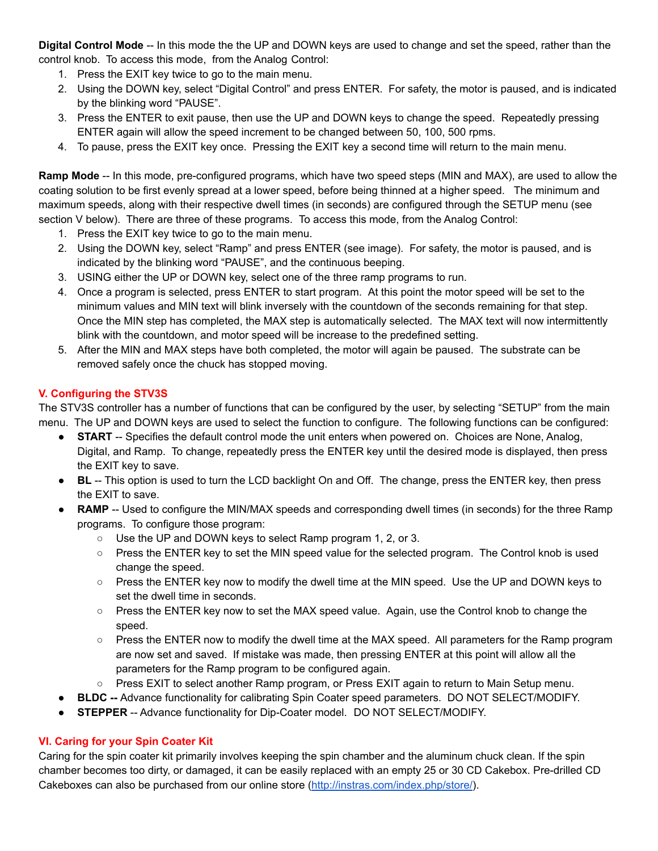**Digital Control Mode** -- In this mode the the UP and DOWN keys are used to change and set the speed, rather than the control knob. To access this mode, from the Analog Control:

- 1. Press the EXIT key twice to go to the main menu.
- 2. Using the DOWN key, select "Digital Control" and press ENTER. For safety, the motor is paused, and is indicated by the blinking word "PAUSE".
- 3. Press the ENTER to exit pause, then use the UP and DOWN keys to change the speed. Repeatedly pressing ENTER again will allow the speed increment to be changed between 50, 100, 500 rpms.
- 4. To pause, press the EXIT key once. Pressing the EXIT key a second time will return to the main menu.

**Ramp Mode** -- In this mode, pre-configured programs, which have two speed steps (MIN and MAX), are used to allow the coating solution to be first evenly spread at a lower speed, before being thinned at a higher speed. The minimum and maximum speeds, along with their respective dwell times (in seconds) are configured through the SETUP menu (see section V below). There are three of these programs. To access this mode, from the Analog Control:

- 1. Press the EXIT key twice to go to the main menu.
- 2. Using the DOWN key, select "Ramp" and press ENTER (see image). For safety, the motor is paused, and is indicated by the blinking word "PAUSE", and the continuous beeping.
- 3. USING either the UP or DOWN key, select one of the three ramp programs to run.
- 4. Once a program is selected, press ENTER to start program. At this point the motor speed will be set to the minimum values and MIN text will blink inversely with the countdown of the seconds remaining for that step. Once the MIN step has completed, the MAX step is automatically selected. The MAX text will now intermittently blink with the countdown, and motor speed will be increase to the predefined setting.
- 5. After the MIN and MAX steps have both completed, the motor will again be paused. The substrate can be removed safely once the chuck has stopped moving.

## **V. Configuring the STV3S**

The STV3S controller has a number of functions that can be configured by the user, by selecting "SETUP" from the main menu. The UP and DOWN keys are used to select the function to configure. The following functions can be configured:

- **START** -- Specifies the default control mode the unit enters when powered on. Choices are None, Analog, Digital, and Ramp. To change, repeatedly press the ENTER key until the desired mode is displayed, then press the EXIT key to save.
- **BL** -- This option is used to turn the LCD backlight On and Off. The change, press the ENTER key, then press the EXIT to save.
- **RAMP** -- Used to configure the MIN/MAX speeds and corresponding dwell times (in seconds) for the three Ramp programs. To configure those program:
	- Use the UP and DOWN keys to select Ramp program 1, 2, or 3.
	- Press the ENTER key to set the MIN speed value for the selected program. The Control knob is used change the speed.
	- Press the ENTER key now to modify the dwell time at the MIN speed. Use the UP and DOWN keys to set the dwell time in seconds.
	- Press the ENTER key now to set the MAX speed value. Again, use the Control knob to change the speed.
	- Press the ENTER now to modify the dwell time at the MAX speed. All parameters for the Ramp program are now set and saved. If mistake was made, then pressing ENTER at this point will allow all the parameters for the Ramp program to be configured again.
	- Press EXIT to select another Ramp program, or Press EXIT again to return to Main Setup menu.
- **BLDC** -- Advance functionality for calibrating Spin Coater speed parameters. DO NOT SELECT/MODIFY.
- **STEPPER** -- Advance functionality for Dip-Coater model. DO NOT SELECT/MODIFY.

## **VI. Caring for your Spin Coater Kit**

Caring for the spin coater kit primarily involves keeping the spin chamber and the aluminum chuck clean. If the spin chamber becomes too dirty, or damaged, it can be easily replaced with an empty 25 or 30 CD Cakebox. Pre-drilled CD Cakeboxes can also be purchased from our online store ([http://instras.com/index.php/store/\)](http://instras.com/index.php/store/).